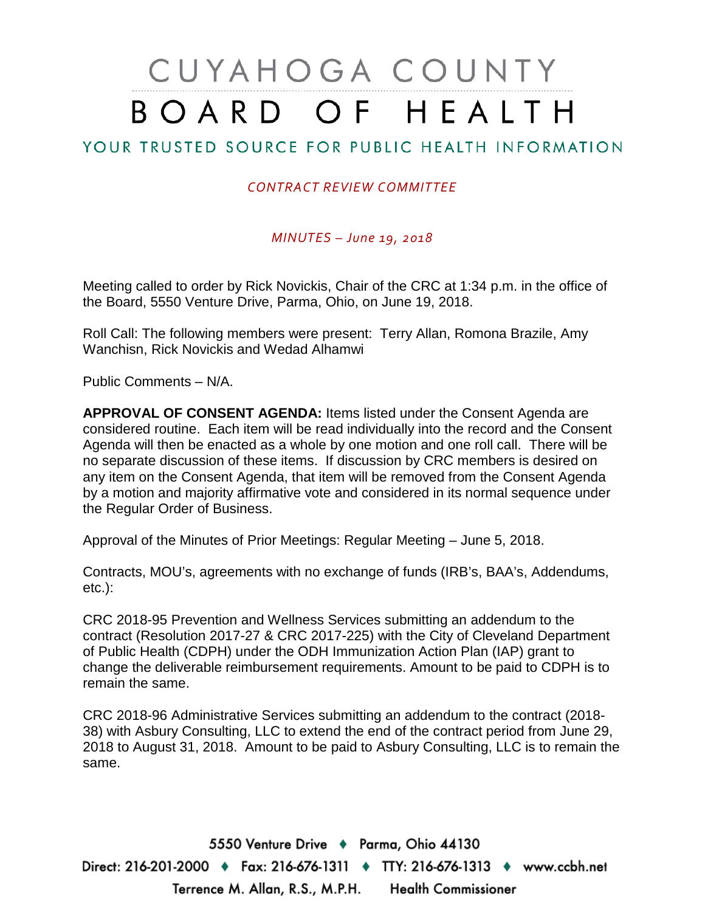# CUYAHOGA COUNTY BOARD OF HEALTH

## YOUR TRUSTED SOURCE FOR PUBLIC HEALTH INFORMATION

#### *CONTRACT REVIEW COMMITTEE*

#### *MINUTES – June 19, 2018*

Meeting called to order by Rick Novickis, Chair of the CRC at 1:34 p.m. in the office of the Board, 5550 Venture Drive, Parma, Ohio, on June 19, 2018.

Roll Call: The following members were present: Terry Allan, Romona Brazile, Amy Wanchisn, Rick Novickis and Wedad Alhamwi

Public Comments – N/A.

**APPROVAL OF CONSENT AGENDA:** Items listed under the Consent Agenda are considered routine. Each item will be read individually into the record and the Consent Agenda will then be enacted as a whole by one motion and one roll call. There will be no separate discussion of these items. If discussion by CRC members is desired on any item on the Consent Agenda, that item will be removed from the Consent Agenda by a motion and majority affirmative vote and considered in its normal sequence under the Regular Order of Business.

Approval of the Minutes of Prior Meetings: Regular Meeting – June 5, 2018.

Contracts, MOU's, agreements with no exchange of funds (IRB's, BAA's, Addendums, etc.):

CRC 2018-95 Prevention and Wellness Services submitting an addendum to the contract (Resolution 2017-27 & CRC 2017-225) with the City of Cleveland Department of Public Health (CDPH) under the ODH Immunization Action Plan (IAP) grant to change the deliverable reimbursement requirements. Amount to be paid to CDPH is to remain the same.

CRC 2018-96 Administrative Services submitting an addendum to the contract (2018- 38) with Asbury Consulting, LLC to extend the end of the contract period from June 29, 2018 to August 31, 2018. Amount to be paid to Asbury Consulting, LLC is to remain the same.

5550 Venture Drive + Parma, Ohio 44130 Direct: 216-201-2000 ♦ Fax: 216-676-1311 ♦ TTY: 216-676-1313 ♦ www.ccbh.net Terrence M. Allan, R.S., M.P.H. Health Commissioner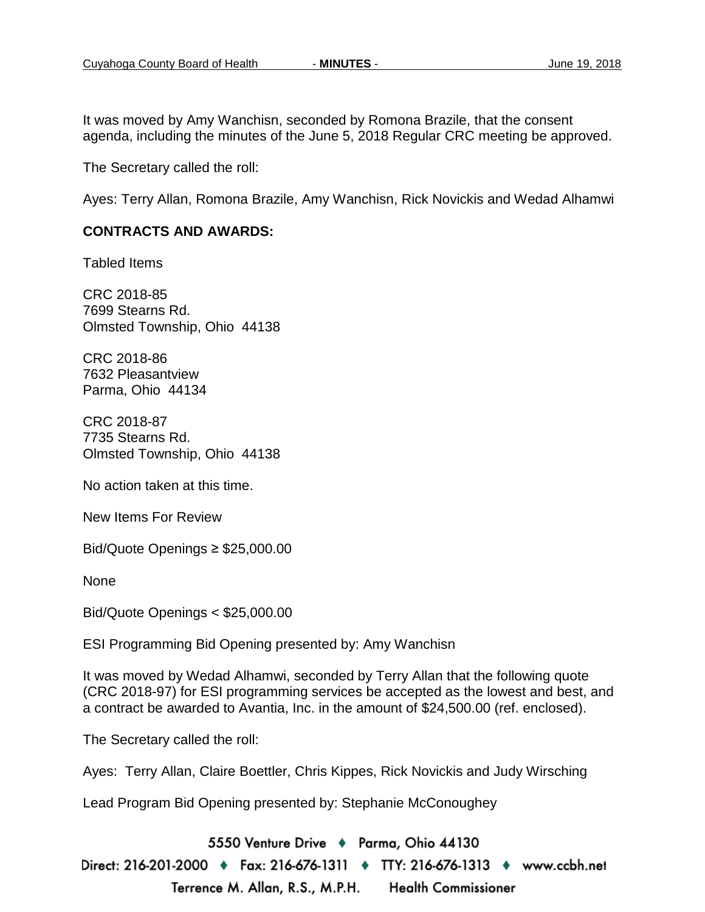It was moved by Amy Wanchisn, seconded by Romona Brazile, that the consent agenda, including the minutes of the June 5, 2018 Regular CRC meeting be approved.

The Secretary called the roll:

Ayes: Terry Allan, Romona Brazile, Amy Wanchisn, Rick Novickis and Wedad Alhamwi

#### **CONTRACTS AND AWARDS:**

Tabled Items

CRC 2018-85 7699 Stearns Rd. Olmsted Township, Ohio 44138

CRC 2018-86 7632 Pleasantview Parma, Ohio 44134

CRC 2018-87 7735 Stearns Rd. Olmsted Township, Ohio 44138

No action taken at this time.

New Items For Review

Bid/Quote Openings ≥ \$25,000.00

None

Bid/Quote Openings < \$25,000.00

ESI Programming Bid Opening presented by: Amy Wanchisn

It was moved by Wedad Alhamwi, seconded by Terry Allan that the following quote (CRC 2018-97) for ESI programming services be accepted as the lowest and best, and a contract be awarded to Avantia, Inc. in the amount of \$24,500.00 (ref. enclosed).

The Secretary called the roll:

Ayes: Terry Allan, Claire Boettler, Chris Kippes, Rick Novickis and Judy Wirsching

Lead Program Bid Opening presented by: Stephanie McConoughey

5550 Venture Drive + Parma, Ohio 44130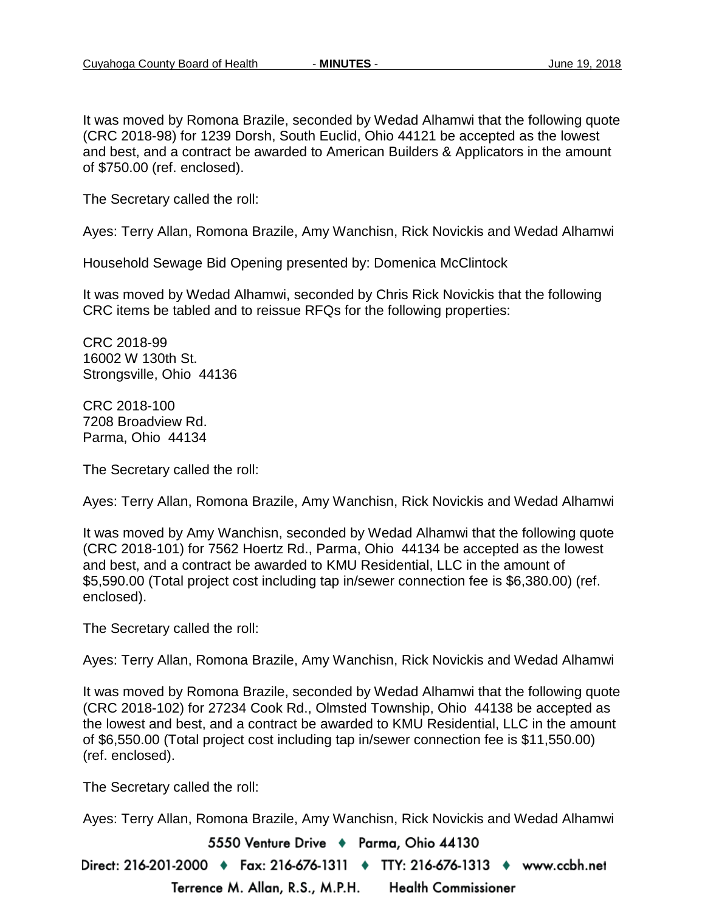It was moved by Romona Brazile, seconded by Wedad Alhamwi that the following quote (CRC 2018-98) for 1239 Dorsh, South Euclid, Ohio 44121 be accepted as the lowest and best, and a contract be awarded to American Builders & Applicators in the amount of \$750.00 (ref. enclosed).

The Secretary called the roll:

Ayes: Terry Allan, Romona Brazile, Amy Wanchisn, Rick Novickis and Wedad Alhamwi

Household Sewage Bid Opening presented by: Domenica McClintock

It was moved by Wedad Alhamwi, seconded by Chris Rick Novickis that the following CRC items be tabled and to reissue RFQs for the following properties:

CRC 2018-99 16002 W 130th St. Strongsville, Ohio 44136

CRC 2018-100 7208 Broadview Rd. Parma, Ohio 44134

The Secretary called the roll:

Ayes: Terry Allan, Romona Brazile, Amy Wanchisn, Rick Novickis and Wedad Alhamwi

It was moved by Amy Wanchisn, seconded by Wedad Alhamwi that the following quote (CRC 2018-101) for 7562 Hoertz Rd., Parma, Ohio 44134 be accepted as the lowest and best, and a contract be awarded to KMU Residential, LLC in the amount of \$5,590.00 (Total project cost including tap in/sewer connection fee is \$6,380.00) (ref. enclosed).

The Secretary called the roll:

Ayes: Terry Allan, Romona Brazile, Amy Wanchisn, Rick Novickis and Wedad Alhamwi

It was moved by Romona Brazile, seconded by Wedad Alhamwi that the following quote (CRC 2018-102) for 27234 Cook Rd., Olmsted Township, Ohio 44138 be accepted as the lowest and best, and a contract be awarded to KMU Residential, LLC in the amount of \$6,550.00 (Total project cost including tap in/sewer connection fee is \$11,550.00) (ref. enclosed).

The Secretary called the roll:

Ayes: Terry Allan, Romona Brazile, Amy Wanchisn, Rick Novickis and Wedad Alhamwi

5550 Venture Drive + Parma, Ohio 44130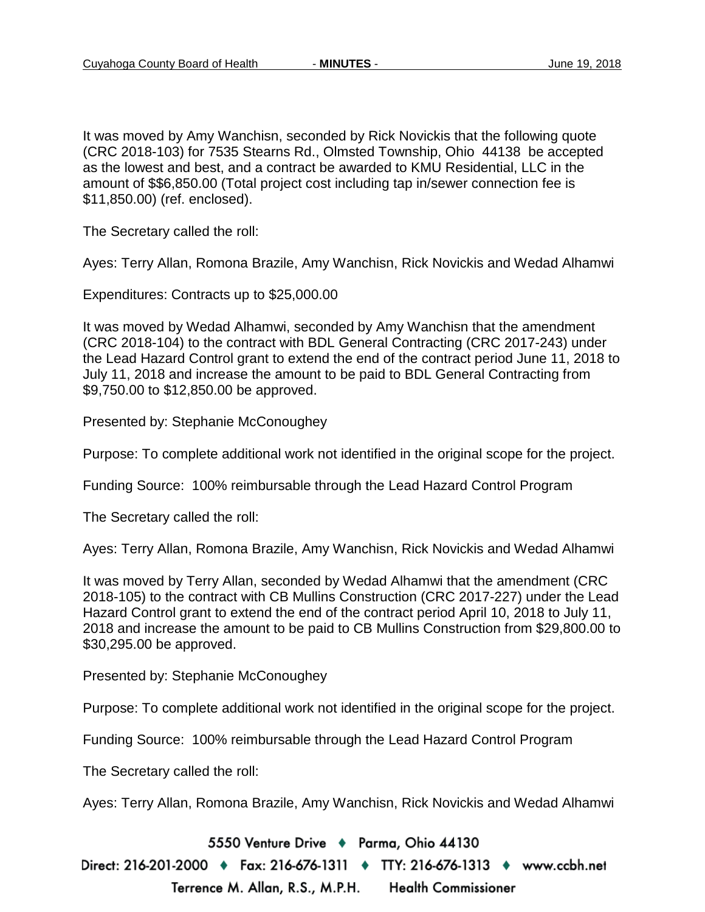It was moved by Amy Wanchisn, seconded by Rick Novickis that the following quote (CRC 2018-103) for 7535 Stearns Rd., Olmsted Township, Ohio 44138 be accepted as the lowest and best, and a contract be awarded to KMU Residential, LLC in the amount of \$\$6,850.00 (Total project cost including tap in/sewer connection fee is \$11,850.00) (ref. enclosed).

The Secretary called the roll:

Ayes: Terry Allan, Romona Brazile, Amy Wanchisn, Rick Novickis and Wedad Alhamwi

Expenditures: Contracts up to \$25,000.00

It was moved by Wedad Alhamwi, seconded by Amy Wanchisn that the amendment (CRC 2018-104) to the contract with BDL General Contracting (CRC 2017-243) under the Lead Hazard Control grant to extend the end of the contract period June 11, 2018 to July 11, 2018 and increase the amount to be paid to BDL General Contracting from \$9,750.00 to \$12,850.00 be approved.

Presented by: Stephanie McConoughey

Purpose: To complete additional work not identified in the original scope for the project.

Funding Source: 100% reimbursable through the Lead Hazard Control Program

The Secretary called the roll:

Ayes: Terry Allan, Romona Brazile, Amy Wanchisn, Rick Novickis and Wedad Alhamwi

It was moved by Terry Allan, seconded by Wedad Alhamwi that the amendment (CRC 2018-105) to the contract with CB Mullins Construction (CRC 2017-227) under the Lead Hazard Control grant to extend the end of the contract period April 10, 2018 to July 11, 2018 and increase the amount to be paid to CB Mullins Construction from \$29,800.00 to \$30,295.00 be approved.

Presented by: Stephanie McConoughey

Purpose: To complete additional work not identified in the original scope for the project.

Funding Source: 100% reimbursable through the Lead Hazard Control Program

The Secretary called the roll:

Ayes: Terry Allan, Romona Brazile, Amy Wanchisn, Rick Novickis and Wedad Alhamwi

5550 Venture Drive + Parma, Ohio 44130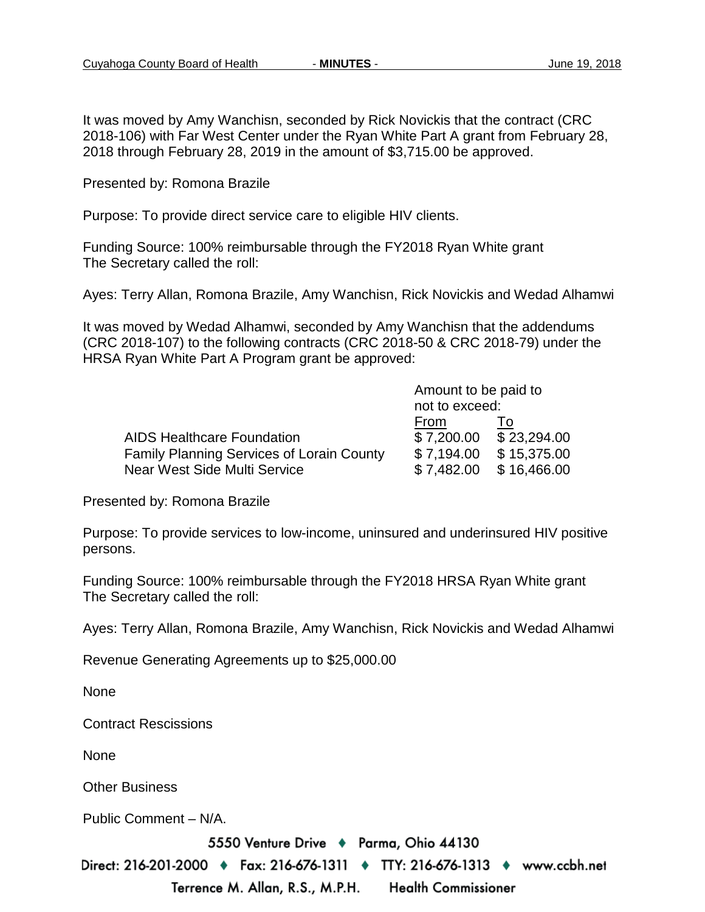It was moved by Amy Wanchisn, seconded by Rick Novickis that the contract (CRC 2018-106) with Far West Center under the Ryan White Part A grant from February 28, 2018 through February 28, 2019 in the amount of \$3,715.00 be approved.

Presented by: Romona Brazile

Purpose: To provide direct service care to eligible HIV clients.

Funding Source: 100% reimbursable through the FY2018 Ryan White grant The Secretary called the roll:

Ayes: Terry Allan, Romona Brazile, Amy Wanchisn, Rick Novickis and Wedad Alhamwi

It was moved by Wedad Alhamwi, seconded by Amy Wanchisn that the addendums (CRC 2018-107) to the following contracts (CRC 2018-50 & CRC 2018-79) under the HRSA Ryan White Part A Program grant be approved:

|                                                  | Amount to be paid to |                          |  |
|--------------------------------------------------|----------------------|--------------------------|--|
|                                                  | not to exceed:       |                          |  |
|                                                  | From                 |                          |  |
| <b>AIDS Healthcare Foundation</b>                |                      | $$7,200.00$ $$23,294.00$ |  |
| <b>Family Planning Services of Lorain County</b> | \$7,194.00           | \$15,375.00              |  |
| Near West Side Multi Service                     | \$7.482.00           | \$16,466.00              |  |

Presented by: Romona Brazile

Purpose: To provide services to low-income, uninsured and underinsured HIV positive persons.

Funding Source: 100% reimbursable through the FY2018 HRSA Ryan White grant The Secretary called the roll:

Ayes: Terry Allan, Romona Brazile, Amy Wanchisn, Rick Novickis and Wedad Alhamwi

Revenue Generating Agreements up to \$25,000.00

None

Contract Rescissions

None

Other Business

Public Comment – N/A.

5550 Venture Drive + Parma, Ohio 44130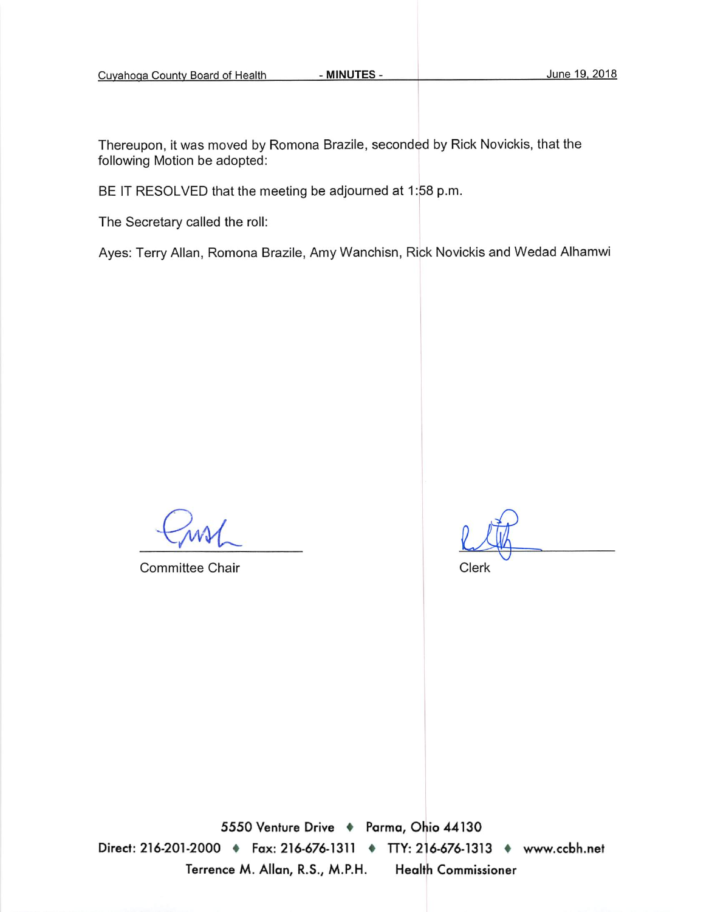- MINUTES -

Thereupon, it was moved by Romona Brazile, seconded by Rick Novickis, that the following Motion be adopted:

BE IT RESOLVED that the meeting be adjourned at 1:58 p.m.

The Secretary called the roll:

Ayes: Terry Allan, Romona Brazile, Amy Wanchisn, Rick Novickis and Wedad Alhamwi

**Committee Chair** 

Clerk

5550 Venture Drive + Parma, Ohio 44130 Direct: 216-201-2000 • Fax: 216-676-1311 • TTY: 216-676-1313 • www.ccbh.net Terrence M. Allan, R.S., M.P.H. **Health Commissioner**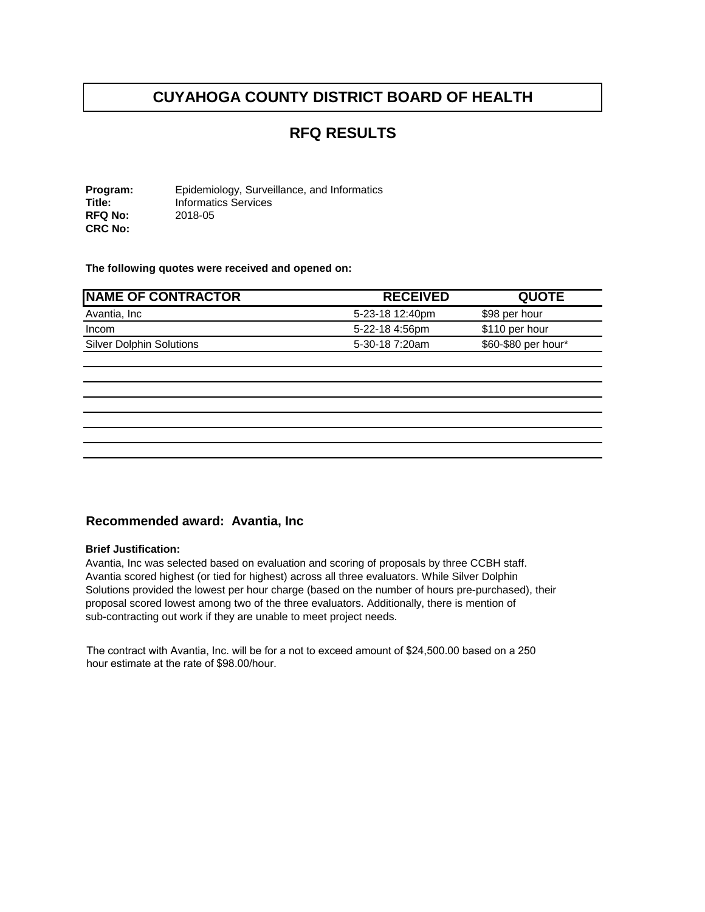## **RFQ RESULTS**

**Program:** Epidemiology, Surveillance, and Informatics<br> **Title:** Informatics Services **Informatics Services**<br>2018-05 **RFQ No: CRC No:** 

**The following quotes were received and opened on:** 

| <b>NAME OF CONTRACTOR</b>       | <b>RECEIVED</b> | <b>QUOTE</b>        |
|---------------------------------|-----------------|---------------------|
| Avantia, Inc                    | 5-23-18 12:40pm | \$98 per hour       |
| Incom                           | 5-22-18 4:56pm  | \$110 per hour      |
| <b>Silver Dolphin Solutions</b> | 5-30-18 7:20am  | \$60-\$80 per hour* |

#### **Recommended award: Avantia, Inc**

#### **Brief Justification:**

Avantia, Inc was selected based on evaluation and scoring of proposals by three CCBH staff. Avantia scored highest (or tied for highest) across all three evaluators. While Silver Dolphin Solutions provided the lowest per hour charge (based on the number of hours pre-purchased), their proposal scored lowest among two of the three evaluators. Additionally, there is mention of sub-contracting out work if they are unable to meet project needs.

The contract with Avantia, Inc. will be for a not to exceed amount of \$24,500.00 based on a 250 hour estimate at the rate of \$98.00/hour.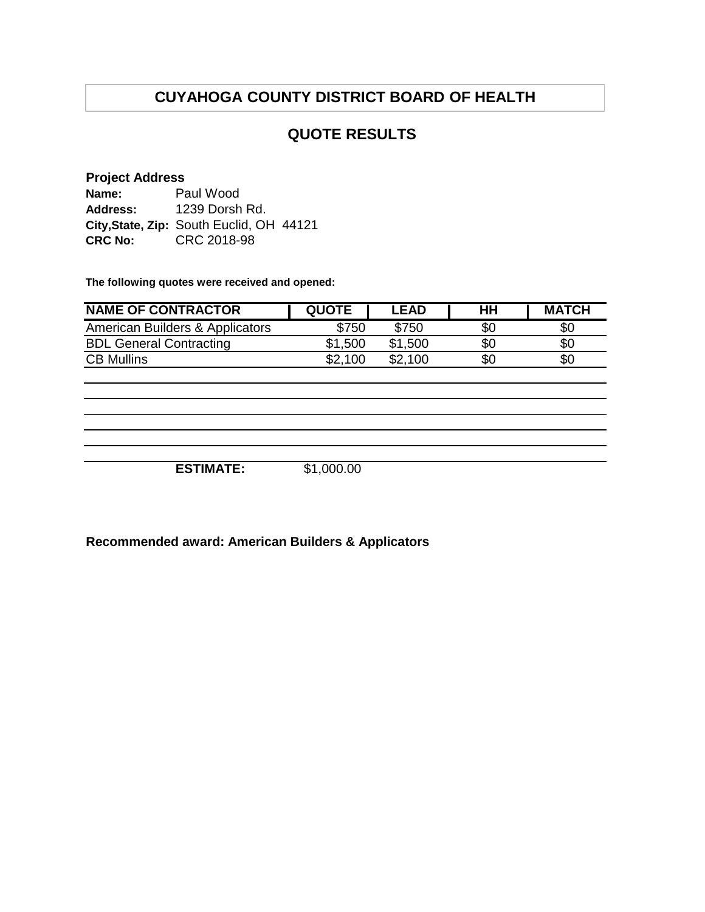### **QUOTE RESULTS**

#### **Project Address**

**Name: Address: City,State, Zip:** South Euclid, OH 44121 **CRC No:** CRC 2018-98 Paul Wood 1239 Dorsh Rd.

**The following quotes were received and opened:**

| <b>NAME OF CONTRACTOR</b>       | <b>QUOTE</b> | <b>LEAD</b> | нн  | <b>MATCH</b> |
|---------------------------------|--------------|-------------|-----|--------------|
| American Builders & Applicators | \$750        | \$750       | \$0 | \$0          |
| <b>BDL General Contracting</b>  | \$1,500      | \$1,500     | \$0 | \$0          |
| <b>CB Mullins</b>               | \$2.100      | \$2.100     | \$0 | \$0          |
|                                 |              |             |     |              |

**ESTIMATE:** \$1,000.00

**Recommended award: American Builders & Applicators**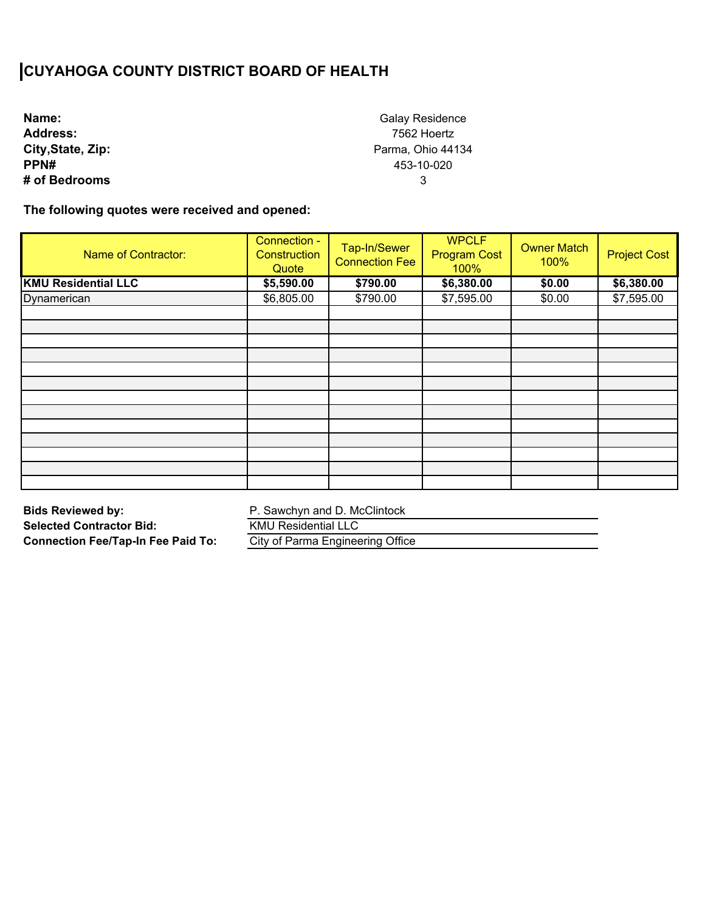**Name: Address: City,State, Zip: PPN# # of Bedrooms**

Galay Residence 7562 Hoertz Parma, Ohio 44134 453-10-020 3

**The following quotes were received and opened:** 

| Name of Contractor:        | Connection -<br>Construction<br>Quote | Tap-In/Sewer<br><b>Connection Fee</b> | <b>WPCLF</b><br><b>Program Cost</b><br>100% | <b>Owner Match</b><br>100% | <b>Project Cost</b> |
|----------------------------|---------------------------------------|---------------------------------------|---------------------------------------------|----------------------------|---------------------|
| <b>KMU Residential LLC</b> | \$5,590.00                            | \$790.00                              | \$6,380.00                                  | \$0.00                     | \$6,380.00          |
| Dynamerican                | \$6,805.00                            | \$790.00                              | \$7,595.00                                  | \$0.00                     | \$7,595.00          |
|                            |                                       |                                       |                                             |                            |                     |
|                            |                                       |                                       |                                             |                            |                     |
|                            |                                       |                                       |                                             |                            |                     |
|                            |                                       |                                       |                                             |                            |                     |
|                            |                                       |                                       |                                             |                            |                     |
|                            |                                       |                                       |                                             |                            |                     |
|                            |                                       |                                       |                                             |                            |                     |
|                            |                                       |                                       |                                             |                            |                     |
|                            |                                       |                                       |                                             |                            |                     |
|                            |                                       |                                       |                                             |                            |                     |
|                            |                                       |                                       |                                             |                            |                     |
|                            |                                       |                                       |                                             |                            |                     |
|                            |                                       |                                       |                                             |                            |                     |

**Bids Reviewed by: Selected Contractor Bid: Connection Fee/Tap-In Fee Paid To:**  P. Sawchyn and D. McClintock

KMU Residential LLC

City of Parma Engineering Office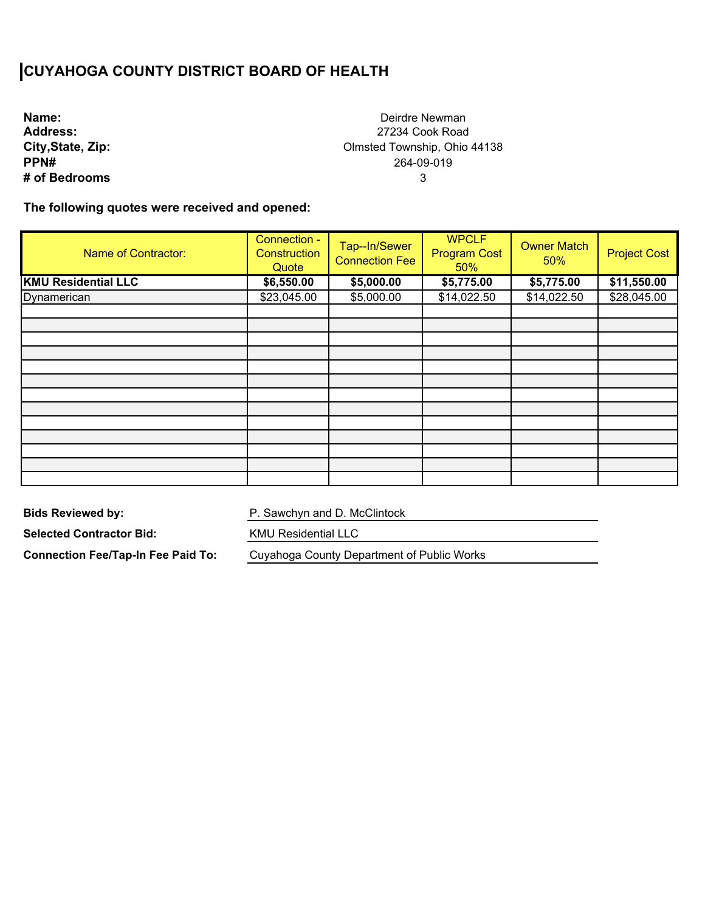| Name:             |
|-------------------|
| <b>Address:</b>   |
| City, State, Zip: |
| PPN#              |
| # of Bedrooms     |

Deirdre Newman 27234 Cook Road Olmsted Township, Ohio 44138 264-09-019 3

**The following quotes were received and opened:** 

| <b>Name of Contractor:</b> | Connection -<br>Construction<br>Quote | Tap--In/Sewer<br><b>Connection Fee</b> | <b>WPCLF</b><br><b>Program Cost</b><br>50% | <b>Owner Match</b><br>50% | <b>Project Cost</b> |
|----------------------------|---------------------------------------|----------------------------------------|--------------------------------------------|---------------------------|---------------------|
| <b>KMU Residential LLC</b> | \$6,550.00                            | \$5,000.00                             | \$5,775.00                                 | \$5,775.00                | \$11,550.00         |
| Dynamerican                | \$23,045.00                           | \$5,000.00                             | \$14,022.50                                | \$14,022.50               | \$28,045.00         |
|                            |                                       |                                        |                                            |                           |                     |
|                            |                                       |                                        |                                            |                           |                     |
|                            |                                       |                                        |                                            |                           |                     |
|                            |                                       |                                        |                                            |                           |                     |
|                            |                                       |                                        |                                            |                           |                     |
|                            |                                       |                                        |                                            |                           |                     |
|                            |                                       |                                        |                                            |                           |                     |
|                            |                                       |                                        |                                            |                           |                     |
|                            |                                       |                                        |                                            |                           |                     |
|                            |                                       |                                        |                                            |                           |                     |
|                            |                                       |                                        |                                            |                           |                     |
|                            |                                       |                                        |                                            |                           |                     |
|                            |                                       |                                        |                                            |                           |                     |

**Bids Reviewed by:** 

P. Sawchyn and D. McClintock

**Selected Contractor Bid:** 

**Connection Fee/Tap-In Fee Paid To:** 

KMU Residential LLC

Cuyahoga County Department of Public Works